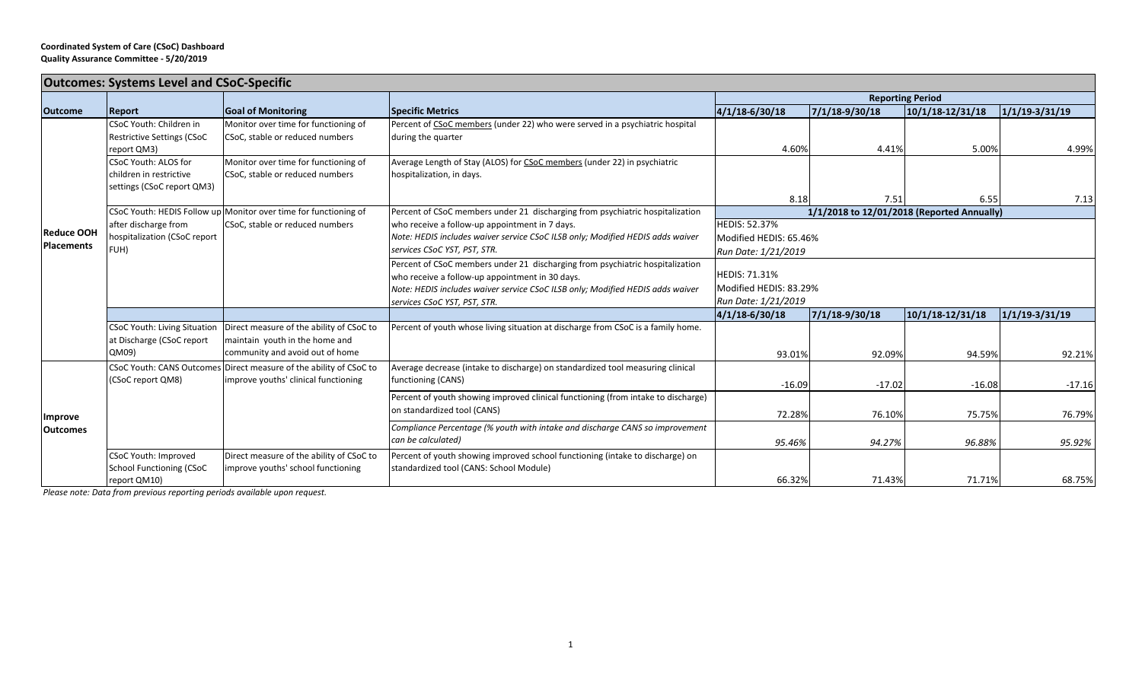| <b>Outcomes: Systems Level and CSoC-Specific</b> |                                      |                                                                                                     |                                                                                                                                   |                                                         |                |                  |                    |  |  |
|--------------------------------------------------|--------------------------------------|-----------------------------------------------------------------------------------------------------|-----------------------------------------------------------------------------------------------------------------------------------|---------------------------------------------------------|----------------|------------------|--------------------|--|--|
|                                                  | <b>Report</b>                        | <b>Goal of Monitoring</b>                                                                           |                                                                                                                                   | <b>Reporting Period</b>                                 |                |                  |                    |  |  |
| <b>Outcome</b>                                   |                                      |                                                                                                     | <b>Specific Metrics</b>                                                                                                           | $4/1/18 - 6/30/18$                                      | 7/1/18-9/30/18 | 10/1/18-12/31/18 | $1/1/19 - 3/31/19$ |  |  |
| <b>Reduce OOH</b><br><b>Placements</b>           | CSoC Youth: Children in              | Monitor over time for functioning of                                                                | Percent of CSoC members (under 22) who were served in a psychiatric hospital                                                      |                                                         |                |                  |                    |  |  |
|                                                  | <b>Restrictive Settings (CSoC</b>    | CSoC, stable or reduced numbers                                                                     | during the quarter                                                                                                                |                                                         |                |                  |                    |  |  |
|                                                  | report QM3)                          |                                                                                                     |                                                                                                                                   | 4.60%                                                   | 4.41%          | 5.00%            | 4.99%              |  |  |
|                                                  | CSoC Youth: ALOS for                 | Monitor over time for functioning of                                                                | Average Length of Stay (ALOS) for CSoC members (under 22) in psychiatric                                                          |                                                         |                |                  |                    |  |  |
|                                                  | children in restrictive              | CSoC, stable or reduced numbers                                                                     | hospitalization, in days.                                                                                                         |                                                         |                |                  |                    |  |  |
|                                                  | settings (CSoC report QM3)           |                                                                                                     |                                                                                                                                   |                                                         |                |                  |                    |  |  |
|                                                  |                                      |                                                                                                     |                                                                                                                                   | 8.18                                                    | 7.51           | 6.55             | 7.13               |  |  |
|                                                  |                                      | CSoC Youth: HEDIS Follow up Monitor over time for functioning of<br>CSoC, stable or reduced numbers | Percent of CSoC members under 21 discharging from psychiatric hospitalization<br>who receive a follow-up appointment in 7 days.   | 1/1/2018 to 12/01/2018 (Reported Annually)              |                |                  |                    |  |  |
|                                                  | after discharge from                 |                                                                                                     |                                                                                                                                   | <b>HEDIS: 52.37%</b>                                    |                |                  |                    |  |  |
|                                                  | hospitalization (CSoC report<br>FUH) |                                                                                                     | Note: HEDIS includes waiver service CSoC ILSB only; Modified HEDIS adds waiver<br>services CSoC YST, PST, STR.                    | Modified HEDIS: 65.46%                                  |                |                  |                    |  |  |
|                                                  |                                      |                                                                                                     |                                                                                                                                   | Run Date: 1/21/2019                                     |                |                  |                    |  |  |
|                                                  |                                      |                                                                                                     | Percent of CSoC members under 21 discharging from psychiatric hospitalization                                                     | <b>HEDIS: 71.31%</b>                                    |                |                  |                    |  |  |
|                                                  |                                      |                                                                                                     | who receive a follow-up appointment in 30 days.<br>Note: HEDIS includes waiver service CSoC ILSB only; Modified HEDIS adds waiver | Modified HEDIS: 83.29%                                  |                |                  |                    |  |  |
|                                                  |                                      | services CSoC YST, PST, STR.                                                                        |                                                                                                                                   | Run Date: 1/21/2019                                     |                |                  |                    |  |  |
|                                                  |                                      |                                                                                                     |                                                                                                                                   | $ 4/1/18-6/30/18$<br>7/1/18-9/30/18<br>10/1/18-12/31/18 |                |                  | $1/1/19 - 3/31/19$ |  |  |
|                                                  | <b>CSoC Youth: Living Situation</b>  | Direct measure of the ability of CSoC to                                                            | Percent of youth whose living situation at discharge from CSoC is a family home.                                                  |                                                         |                |                  |                    |  |  |
|                                                  | at Discharge (CSoC report            | maintain youth in the home and                                                                      |                                                                                                                                   |                                                         |                |                  |                    |  |  |
|                                                  | QM09)                                | community and avoid out of home                                                                     |                                                                                                                                   | 93.01%                                                  | 92.09%         | 94.59%           | 92.21%             |  |  |
| Improve<br><b>Outcomes</b>                       |                                      | CSoC Youth: CANS Outcomes Direct measure of the ability of CSoC to                                  | Average decrease (intake to discharge) on standardized tool measuring clinical                                                    |                                                         |                |                  |                    |  |  |
|                                                  | (CSoC report QM8)                    | improve youths' clinical functioning                                                                | functioning (CANS)                                                                                                                |                                                         |                |                  |                    |  |  |
|                                                  |                                      |                                                                                                     |                                                                                                                                   | $-16.09$                                                | $-17.02$       | $-16.08$         | $-17.16$           |  |  |
|                                                  |                                      |                                                                                                     | Percent of youth showing improved clinical functioning (from intake to discharge)                                                 |                                                         |                |                  |                    |  |  |
|                                                  |                                      |                                                                                                     | on standardized tool (CANS)                                                                                                       | 72.28%                                                  | 76.10%         | 75.75%           | 76.79%             |  |  |
|                                                  |                                      |                                                                                                     | Compliance Percentage (% youth with intake and discharge CANS so improvement                                                      |                                                         |                |                  |                    |  |  |
|                                                  |                                      |                                                                                                     | can be calculated)                                                                                                                | 95.46%                                                  | 94.27%         | 96.88%           | 95.92%             |  |  |
|                                                  | CSoC Youth: Improved                 | Direct measure of the ability of CSoC to                                                            | Percent of youth showing improved school functioning (intake to discharge) on                                                     |                                                         |                |                  |                    |  |  |
|                                                  | <b>School Functioning (CSoC</b>      | improve youths' school functioning                                                                  | standardized tool (CANS: School Module)                                                                                           |                                                         |                |                  |                    |  |  |
|                                                  | report QM10)                         |                                                                                                     |                                                                                                                                   | 66.32%                                                  | 71.43%         | 71.71%           | 68.75%             |  |  |

*Please note: Data from previous reporting periods available upon request.*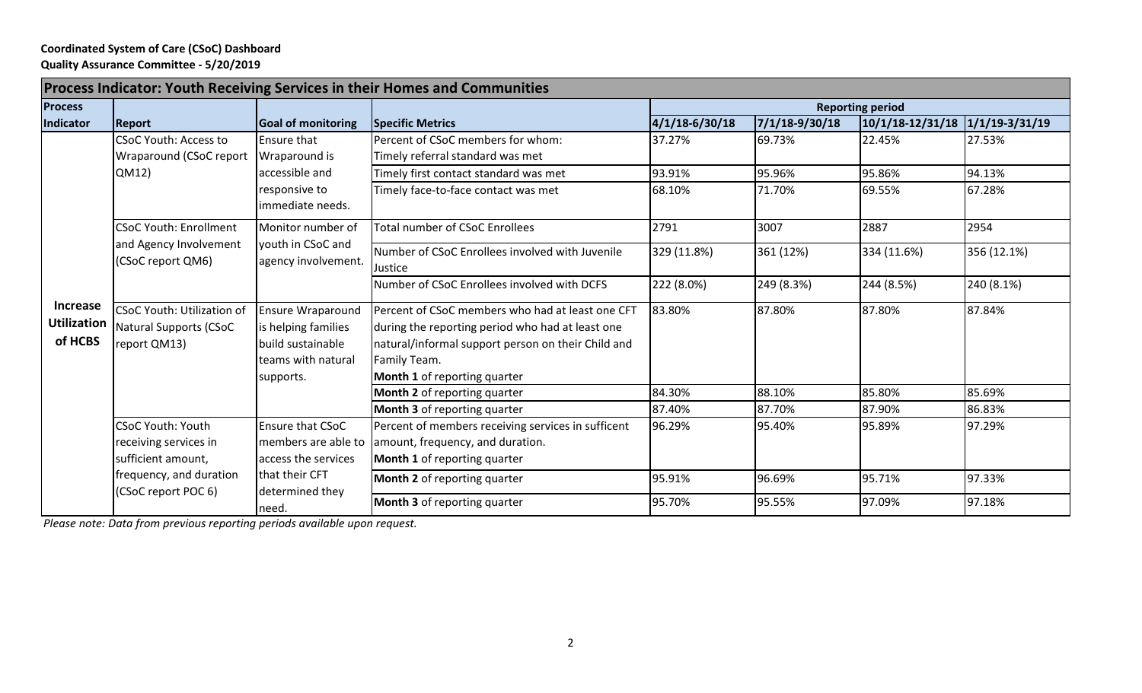## **Coordinated System of Care (CSoC) Dashboard Quality Assurance Committee - 5/20/2019**

| <b>Process Indicator: Youth Receiving Services in their Homes and Communities</b> |                                                                                                                           |                                                                                                              |                                                                                                                                                                                                                   |                         |                    |                                 |             |  |
|-----------------------------------------------------------------------------------|---------------------------------------------------------------------------------------------------------------------------|--------------------------------------------------------------------------------------------------------------|-------------------------------------------------------------------------------------------------------------------------------------------------------------------------------------------------------------------|-------------------------|--------------------|---------------------------------|-------------|--|
| <b>Process</b>                                                                    |                                                                                                                           |                                                                                                              |                                                                                                                                                                                                                   | <b>Reporting period</b> |                    |                                 |             |  |
| Indicator                                                                         | <b>Report</b>                                                                                                             | <b>Goal of monitoring</b>                                                                                    | <b>Specific Metrics</b>                                                                                                                                                                                           | $4/1/18 - 6/30/18$      | $7/1/18 - 9/30/18$ | 10/1/18-12/31/18 1/1/19-3/31/19 |             |  |
| <b>Increase</b><br><b>Utilization</b><br>of HCBS                                  | <b>CSoC Youth: Access to</b><br>Wraparound (CSoC report                                                                   | <b>Ensure that</b><br>Wraparound is<br>accessible and<br>responsive to<br>immediate needs.                   | Percent of CSoC members for whom:<br>Timely referral standard was met                                                                                                                                             | 37.27%                  | 69.73%             | 22.45%                          | 27.53%      |  |
|                                                                                   | QM12)                                                                                                                     |                                                                                                              | Timely first contact standard was met                                                                                                                                                                             | 93.91%                  | 95.96%             | 95.86%                          | 94.13%      |  |
|                                                                                   |                                                                                                                           |                                                                                                              | Timely face-to-face contact was met                                                                                                                                                                               | 68.10%                  | 71.70%             | 69.55%                          | 67.28%      |  |
|                                                                                   | <b>CSoC Youth: Enrollment</b><br>and Agency Involvement<br>(CSoC report QM6)                                              | Monitor number of<br>youth in CSoC and<br>agency involvement.                                                | <b>Total number of CSoC Enrollees</b>                                                                                                                                                                             | 2791                    | 3007               | 2887                            | 2954        |  |
|                                                                                   |                                                                                                                           |                                                                                                              | Number of CSoC Enrollees involved with Juvenile<br>Justice                                                                                                                                                        | 329 (11.8%)             | 361 (12%)          | 334 (11.6%)                     | 356 (12.1%) |  |
|                                                                                   |                                                                                                                           |                                                                                                              | Number of CSoC Enrollees involved with DCFS                                                                                                                                                                       | 222 (8.0%)              | 249 (8.3%)         | 244 (8.5%)                      | 240 (8.1%)  |  |
|                                                                                   | <b>CSoC Youth: Utilization of</b><br><b>Natural Supports (CSoC</b><br>report QM13)                                        | <b>Ensure Wraparound</b><br>is helping families<br>build sustainable<br>teams with natural<br>supports.      | Percent of CSoC members who had at least one CFT<br>during the reporting period who had at least one<br>natural/informal support person on their Child and<br>Family Team.<br><b>Month 1</b> of reporting quarter | 83.80%                  | 87.80%             | 87.80%                          | 87.84%      |  |
|                                                                                   |                                                                                                                           |                                                                                                              | Month 2 of reporting quarter                                                                                                                                                                                      | 84.30%                  | 88.10%             | 85.80%                          | 85.69%      |  |
|                                                                                   |                                                                                                                           |                                                                                                              | Month 3 of reporting quarter                                                                                                                                                                                      | 87.40%                  | 87.70%             | 87.90%                          | 86.83%      |  |
|                                                                                   | <b>CSoC Youth: Youth</b><br>receiving services in<br>sufficient amount,<br>frequency, and duration<br>(CSoC report POC 6) | Ensure that CSoC<br>members are able to<br>access the services<br>that their CFT<br>determined they<br>need. | Percent of members receiving services in sufficent<br>amount, frequency, and duration.<br>Month 1 of reporting quarter                                                                                            | 96.29%                  | 95.40%             | 95.89%                          | 97.29%      |  |
|                                                                                   |                                                                                                                           |                                                                                                              | <b>Month 2</b> of reporting quarter                                                                                                                                                                               | 95.91%                  | 96.69%             | 95.71%                          | 97.33%      |  |
|                                                                                   |                                                                                                                           |                                                                                                              | <b>Month 3</b> of reporting quarter                                                                                                                                                                               | 95.70%                  | 95.55%             | 97.09%                          | 97.18%      |  |

*Please note: Data from previous reporting periods available upon request.*